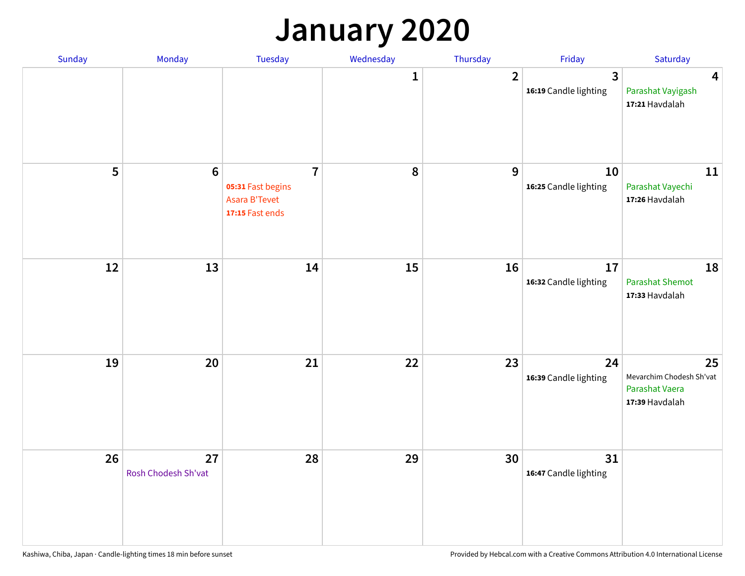## **January 2020**

| Sunday | Monday                    | Tuesday                                                                 | Wednesday    | Thursday       | Friday                      | Saturday                                                           |
|--------|---------------------------|-------------------------------------------------------------------------|--------------|----------------|-----------------------------|--------------------------------------------------------------------|
|        |                           |                                                                         | $\mathbf{1}$ | $\overline{2}$ | 3<br>16:19 Candle lighting  | $\overline{\mathbf{4}}$<br>Parashat Vayigash<br>17:21 Havdalah     |
| 5      | $\bf 6$                   | $\overline{7}$<br>05:31 Fast begins<br>Asara B'Tevet<br>17:15 Fast ends | $\pmb{8}$    | 9              | 10<br>16:25 Candle lighting | 11<br>Parashat Vayechi<br>17:26 Havdalah                           |
| 12     | 13                        | 14                                                                      | 15           | 16             | 17<br>16:32 Candle lighting | 18<br><b>Parashat Shemot</b><br>17:33 Havdalah                     |
| 19     | 20                        | 21                                                                      | 22           | 23             | 24<br>16:39 Candle lighting | 25<br>Mevarchim Chodesh Sh'vat<br>Parashat Vaera<br>17:39 Havdalah |
| 26     | 27<br>Rosh Chodesh Sh'vat | 28                                                                      | 29           | 30             | 31<br>16:47 Candle lighting |                                                                    |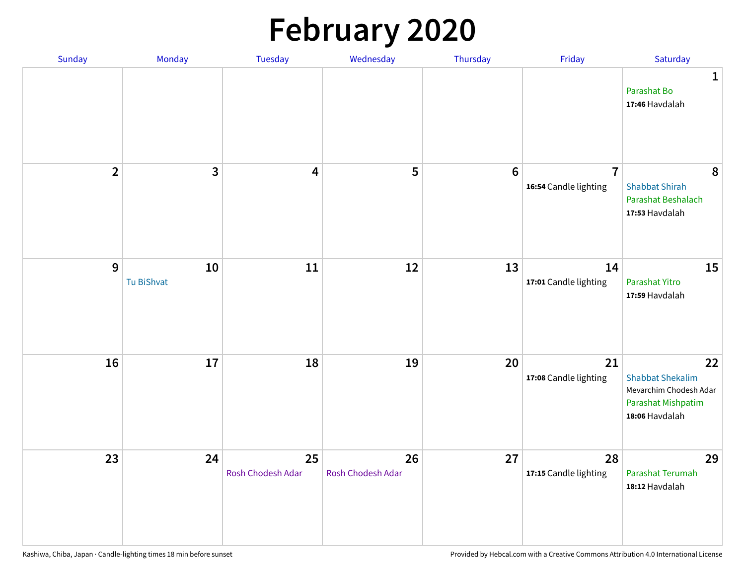# **February 2020**

| Sunday         | Monday           | Tuesday                 | Wednesday               | Thursday        | Friday                                  | Saturday                                                                                        |
|----------------|------------------|-------------------------|-------------------------|-----------------|-----------------------------------------|-------------------------------------------------------------------------------------------------|
|                |                  |                         |                         |                 |                                         | $\mathbf{1}$<br>Parashat Bo<br>17:46 Havdalah                                                   |
| $\overline{2}$ | $\mathbf{3}$     | $\overline{\mathbf{4}}$ | 5                       | $6\phantom{1}6$ | $\overline{7}$<br>16:54 Candle lighting | 8<br><b>Shabbat Shirah</b><br>Parashat Beshalach<br>17:53 Havdalah                              |
| 9              | 10<br>Tu BiShvat | $11\,$                  | 12                      | 13              | 14<br>17:01 Candle lighting             | 15<br>Parashat Yitro<br>17:59 Havdalah                                                          |
| 16             | 17               | 18                      | 19                      | 20              | 21<br>17:08 Candle lighting             | 22<br><b>Shabbat Shekalim</b><br>Mevarchim Chodesh Adar<br>Parashat Mishpatim<br>18:06 Havdalah |
| 23             | 24               | 25<br>Rosh Chodesh Adar | 26<br>Rosh Chodesh Adar | 27              | 28<br>17:15 Candle lighting             | 29<br>Parashat Terumah<br>18:12 Havdalah                                                        |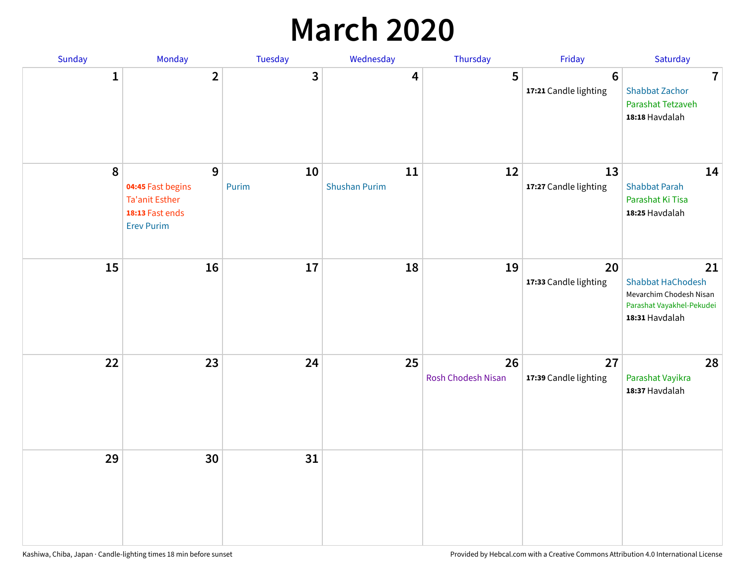## **March 2020**

| Sunday       | <b>Monday</b>                                                                           | <b>Tuesday</b> | Wednesday                  | Thursday                 | Friday                           | Saturday                                                                                                 |
|--------------|-----------------------------------------------------------------------------------------|----------------|----------------------------|--------------------------|----------------------------------|----------------------------------------------------------------------------------------------------------|
| $\mathbf{1}$ | $\overline{2}$                                                                          | 3              | 4                          | 5                        | $\bf 6$<br>17:21 Candle lighting | $\overline{7}$<br><b>Shabbat Zachor</b><br>Parashat Tetzaveh<br>18:18 Havdalah                           |
| 8            | 9<br>04:45 Fast begins<br><b>Ta'anit Esther</b><br>18:13 Fast ends<br><b>Erev Purim</b> | 10<br>Purim    | 11<br><b>Shushan Purim</b> | 12                       | 13<br>17:27 Candle lighting      | 14<br><b>Shabbat Parah</b><br>Parashat Ki Tisa<br>18:25 Havdalah                                         |
| 15           | 16                                                                                      | 17             | 18                         | 19                       | 20<br>17:33 Candle lighting      | 21<br><b>Shabbat HaChodesh</b><br>Mevarchim Chodesh Nisan<br>Parashat Vayakhel-Pekudei<br>18:31 Havdalah |
| 22           | 23                                                                                      | 24             | 25                         | 26<br>Rosh Chodesh Nisan | 27<br>17:39 Candle lighting      | 28<br>Parashat Vayikra<br>18:37 Havdalah                                                                 |
| 29           | 30                                                                                      | 31             |                            |                          |                                  |                                                                                                          |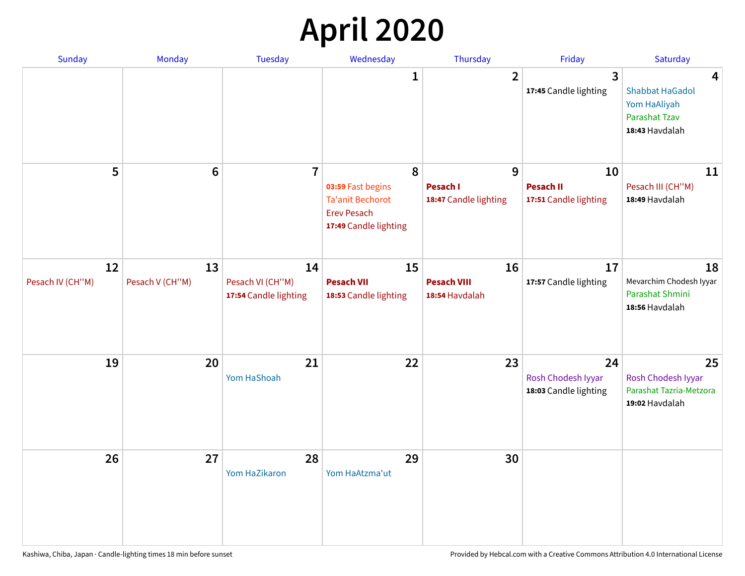# **April 2020**

| Sunday                 | Monday                | <b>Tuesday</b>                                  | Wednesday                                                                                        | Thursday                                      | Friday                                            | Saturday                                                                              |
|------------------------|-----------------------|-------------------------------------------------|--------------------------------------------------------------------------------------------------|-----------------------------------------------|---------------------------------------------------|---------------------------------------------------------------------------------------|
|                        |                       |                                                 | 1                                                                                                | $\overline{2}$                                | $\overline{3}$<br>17:45 Candle lighting           | 4<br><b>Shabbat HaGadol</b><br>Yom HaAliyah<br><b>Parashat Tzav</b><br>18:43 Havdalah |
| 5                      | $6\phantom{1}6$       | $\overline{7}$                                  | 8<br>03:59 Fast begins<br><b>Ta'anit Bechorot</b><br><b>Erev Pesach</b><br>17:49 Candle lighting | 9<br><b>Pesach I</b><br>18:47 Candle lighting | 10<br><b>Pesach II</b><br>17:51 Candle lighting   | 11<br>Pesach III (CH"M)<br>18:49 Havdalah                                             |
| 12<br>Pesach IV (CH"M) | 13<br>Pesach V (CH"M) | 14<br>Pesach VI (CH"M)<br>17:54 Candle lighting | 15<br><b>Pesach VII</b><br>18:53 Candle lighting                                                 | 16<br><b>Pesach VIII</b><br>18:54 Havdalah    | 17<br>17:57 Candle lighting                       | 18<br>Mevarchim Chodesh Iyyar<br>Parashat Shmini<br>18:56 Havdalah                    |
| 19                     | 20                    | 21<br>Yom HaShoah                               | 22                                                                                               | 23                                            | 24<br>Rosh Chodesh Iyyar<br>18:03 Candle lighting | 25<br>Rosh Chodesh Iyyar<br>Parashat Tazria-Metzora<br>19:02 Havdalah                 |
| 26                     | 27                    | 28<br>Yom HaZikaron                             | 29<br>Yom HaAtzma'ut                                                                             | 30                                            |                                                   |                                                                                       |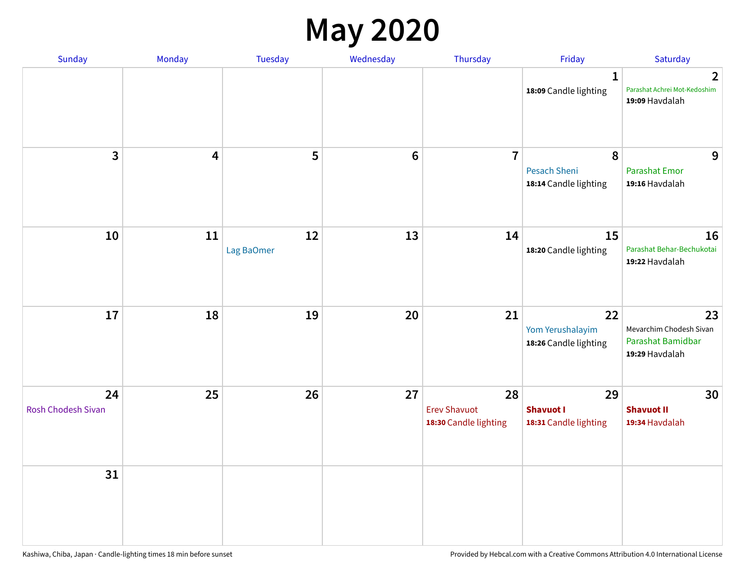### **May 2020**

| Sunday                          | Monday | Tuesday          | Wednesday      | Thursday                                           | Friday                                          | Saturday                                                             |
|---------------------------------|--------|------------------|----------------|----------------------------------------------------|-------------------------------------------------|----------------------------------------------------------------------|
|                                 |        |                  |                |                                                    | $\mathbf{1}$<br>18:09 Candle lighting           | $\overline{2}$<br>Parashat Achrei Mot-Kedoshim<br>19:09 Havdalah     |
| $\overline{\mathbf{3}}$         | 4      | 5                | $6\phantom{1}$ | $\overline{7}$                                     | 8<br>Pesach Sheni<br>18:14 Candle lighting      | 9<br><b>Parashat Emor</b><br>19:16 Havdalah                          |
| 10                              | 11     | 12<br>Lag BaOmer | 13             | 14                                                 | 15<br>18:20 Candle lighting                     | 16<br>Parashat Behar-Bechukotai<br>19:22 Havdalah                    |
| 17                              | 18     | 19               | 20             | 21                                                 | 22<br>Yom Yerushalayim<br>18:26 Candle lighting | 23<br>Mevarchim Chodesh Sivan<br>Parashat Bamidbar<br>19:29 Havdalah |
| 24<br><b>Rosh Chodesh Sivan</b> | 25     | 26               | 27             | 28<br><b>Erev Shavuot</b><br>18:30 Candle lighting | 29<br><b>Shavuot I</b><br>18:31 Candle lighting | 30<br><b>Shavuot II</b><br>19:34 Havdalah                            |
| 31                              |        |                  |                |                                                    |                                                 |                                                                      |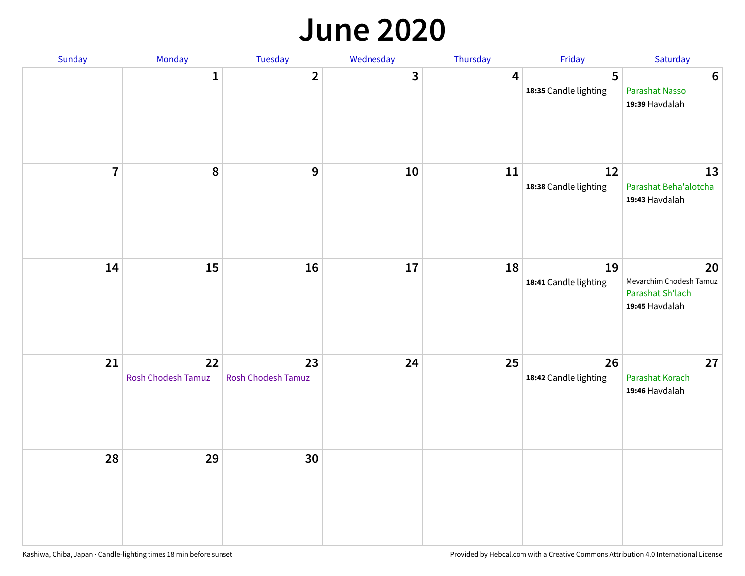#### **June 2020**

| Sunday         | Monday                   | Tuesday                  | Wednesday | Thursday | Friday                      | Saturday                                                            |
|----------------|--------------------------|--------------------------|-----------|----------|-----------------------------|---------------------------------------------------------------------|
|                | $\mathbf{1}$             | $\overline{\mathbf{2}}$  | 3         | 4        | 5<br>18:35 Candle lighting  | $\boldsymbol{6}$<br>Parashat Nasso<br>19:39 Havdalah                |
| $\overline{7}$ | 8                        | 9                        | $10\,$    | 11       | 12<br>18:38 Candle lighting | 13<br>Parashat Beha'alotcha<br>19:43 Havdalah                       |
| 14             | 15                       | 16                       | $17\,$    | 18       | 19<br>18:41 Candle lighting | 20<br>Mevarchim Chodesh Tamuz<br>Parashat Sh'lach<br>19:45 Havdalah |
| 21             | 22<br>Rosh Chodesh Tamuz | 23<br>Rosh Chodesh Tamuz | 24        | 25       | 26<br>18:42 Candle lighting | 27<br>Parashat Korach<br>19:46 Havdalah                             |
| 28             | 29                       | 30                       |           |          |                             |                                                                     |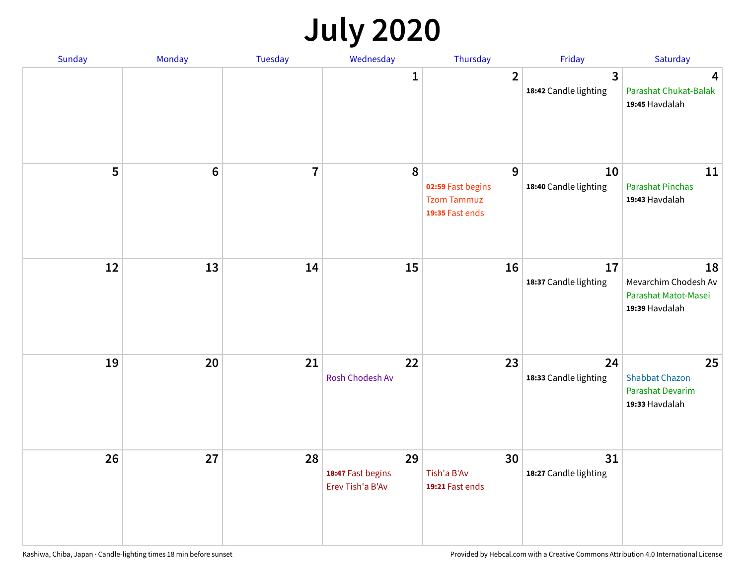## **July 2020**

| <b>Sunday</b> | Monday          | <b>Tuesday</b>          | Wednesday                                   | Thursday                                                        | Friday                                           | Saturday                                                                 |
|---------------|-----------------|-------------------------|---------------------------------------------|-----------------------------------------------------------------|--------------------------------------------------|--------------------------------------------------------------------------|
|               |                 |                         | 1                                           | $\overline{2}$                                                  | $\overline{\mathbf{3}}$<br>18:42 Candle lighting | 4<br>Parashat Chukat-Balak<br>19:45 Havdalah                             |
| 5             | $6\phantom{1}6$ | $\overline{\mathbf{r}}$ | 8                                           | 9<br>02:59 Fast begins<br><b>Tzom Tammuz</b><br>19:35 Fast ends | 10<br>18:40 Candle lighting                      | 11<br><b>Parashat Pinchas</b><br>19:43 Havdalah                          |
| 12            | 13              | 14                      | 15                                          | 16                                                              | 17<br>18:37 Candle lighting                      | 18<br>Mevarchim Chodesh Av<br>Parashat Matot-Masei<br>19:39 Havdalah     |
| 19            | 20              | 21                      | 22<br>Rosh Chodesh Av                       | 23                                                              | 24<br>18:33 Candle lighting                      | 25<br><b>Shabbat Chazon</b><br><b>Parashat Devarim</b><br>19:33 Havdalah |
| 26            | 27              | 28                      | 29<br>18:47 Fast begins<br>Erev Tish'a B'Av | 30<br>Tish'a B'Av<br>19:21 Fast ends                            | 31<br>18:27 Candle lighting                      |                                                                          |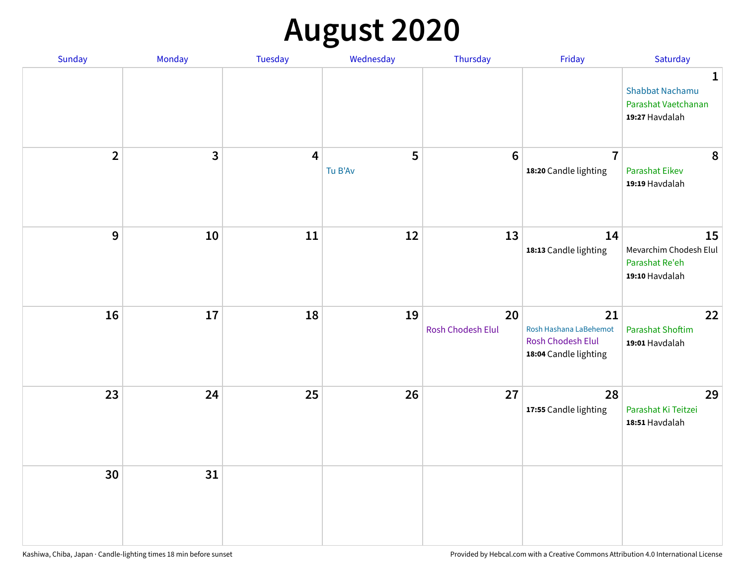# **August 2020**

| Sunday         | Monday     | Tuesday        | Wednesday    | Thursday                | Friday                                                                            | Saturday                                                                        |
|----------------|------------|----------------|--------------|-------------------------|-----------------------------------------------------------------------------------|---------------------------------------------------------------------------------|
|                |            |                |              |                         |                                                                                   | $\mathbf{1}$<br><b>Shabbat Nachamu</b><br>Parashat Vaetchanan<br>19:27 Havdalah |
| $\overline{2}$ | 3          | $\overline{4}$ | 5<br>Tu B'Av | $6\phantom{1}6$         | $\overline{7}$<br>18:20 Candle lighting                                           | 8<br><b>Parashat Eikev</b><br>19:19 Havdalah                                    |
| 9              | ${\bf 10}$ | 11             | 12           | 13                      | 14<br>18:13 Candle lighting                                                       | 15<br>Mevarchim Chodesh Elul<br>Parashat Re'eh<br>19:10 Havdalah                |
| 16             | 17         | 18             | 19           | 20<br>Rosh Chodesh Elul | 21<br>Rosh Hashana LaBehemot<br><b>Rosh Chodesh Elul</b><br>18:04 Candle lighting | 22<br><b>Parashat Shoftim</b><br>19:01 Havdalah                                 |
| 23             | 24         | 25             | 26           | 27                      | 28<br>17:55 Candle lighting                                                       | 29<br>Parashat Ki Teitzei<br>18:51 Havdalah                                     |
| 30             | 31         |                |              |                         |                                                                                   |                                                                                 |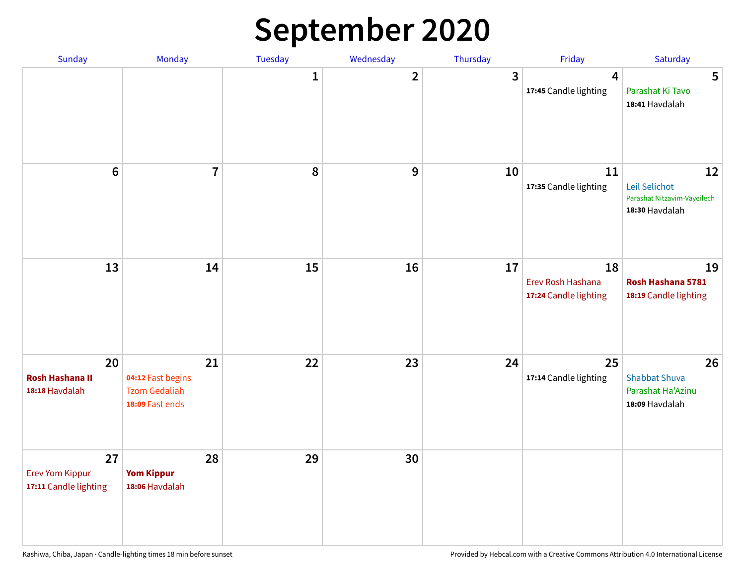## **September 2020**

| Sunday                                                | Monday                                                             | Tuesday      | Wednesday      | Thursday     | Friday                                           | Saturday                                                             |
|-------------------------------------------------------|--------------------------------------------------------------------|--------------|----------------|--------------|--------------------------------------------------|----------------------------------------------------------------------|
|                                                       |                                                                    | $\mathbf{1}$ | $\overline{2}$ | $\mathbf{3}$ | 4<br>17:45 Candle lighting                       | 5<br>Parashat Ki Tavo<br>18:41 Havdalah                              |
| $6\phantom{a}$                                        | $\overline{7}$                                                     | 8            | 9              | 10           | 11<br>17:35 Candle lighting                      | 12<br>Leil Selichot<br>Parashat Nitzavim-Vayeilech<br>18:30 Havdalah |
| 13                                                    | 14                                                                 | 15           | 16             | 17           | 18<br>Erev Rosh Hashana<br>17:24 Candle lighting | 19<br>Rosh Hashana 5781<br>18:19 Candle lighting                     |
| 20<br><b>Rosh Hashana II</b><br>18:18 Havdalah        | 21<br>04:12 Fast begins<br><b>Tzom Gedaliah</b><br>18:09 Fast ends | 22           | 23             | 24           | 25<br>17:14 Candle lighting                      | 26<br><b>Shabbat Shuva</b><br>Parashat Ha'Azinu<br>18:09 Havdalah    |
| 27<br><b>Erev Yom Kippur</b><br>17:11 Candle lighting | 28<br><b>Yom Kippur</b><br>18:06 Havdalah                          | 29           | 30             |              |                                                  |                                                                      |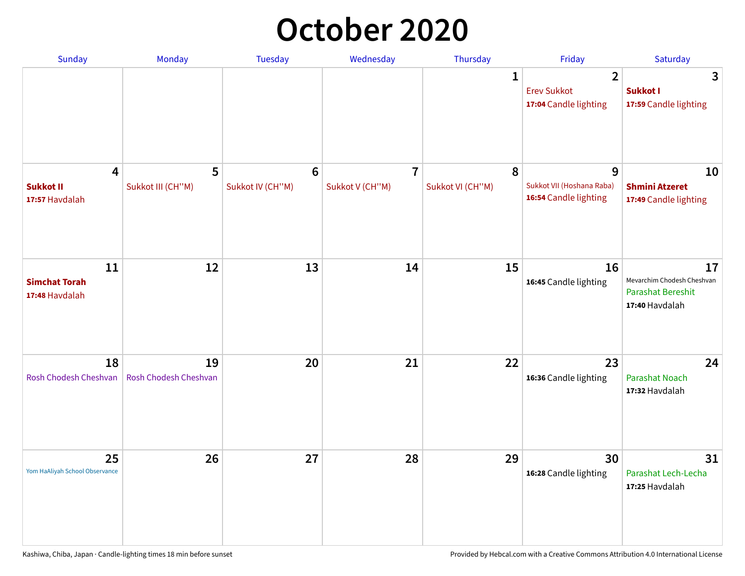## **October 2020**

| <b>Sunday</b>                                                 | Monday                      | <b>Tuesday</b>                      | Wednesday                         | Thursday              | Friday                                                        | Saturday                                                                       |
|---------------------------------------------------------------|-----------------------------|-------------------------------------|-----------------------------------|-----------------------|---------------------------------------------------------------|--------------------------------------------------------------------------------|
|                                                               |                             |                                     |                                   | 1                     | $\overline{2}$<br><b>Erev Sukkot</b><br>17:04 Candle lighting | 3<br>Sukkot I<br>17:59 Candle lighting                                         |
| $\overline{\mathbf{4}}$<br><b>Sukkot II</b><br>17:57 Havdalah | 5<br>Sukkot III (CH"M)      | $6\phantom{1}6$<br>Sukkot IV (CH"M) | $\overline{7}$<br>Sukkot V (CH"M) | 8<br>Sukkot VI (CH"M) | 9<br>Sukkot VII (Hoshana Raba)<br>16:54 Candle lighting       | 10<br><b>Shmini Atzeret</b><br>17:49 Candle lighting                           |
| 11<br><b>Simchat Torah</b><br>17:48 Havdalah                  | 12                          | 13                                  | 14                                | 15                    | 16<br>16:45 Candle lighting                                   | 17<br>Mevarchim Chodesh Cheshvan<br><b>Parashat Bereshit</b><br>17:40 Havdalah |
| 18<br>Rosh Chodesh Cheshvan                                   | 19<br>Rosh Chodesh Cheshvan | 20                                  | 21                                | 22                    | 23<br>16:36 Candle lighting                                   | 24<br><b>Parashat Noach</b><br>17:32 Havdalah                                  |
| 25<br>Yom HaAliyah School Observance                          | 26                          | 27                                  | 28                                | 29                    | 30<br>16:28 Candle lighting                                   | 31<br>Parashat Lech-Lecha<br>17:25 Havdalah                                    |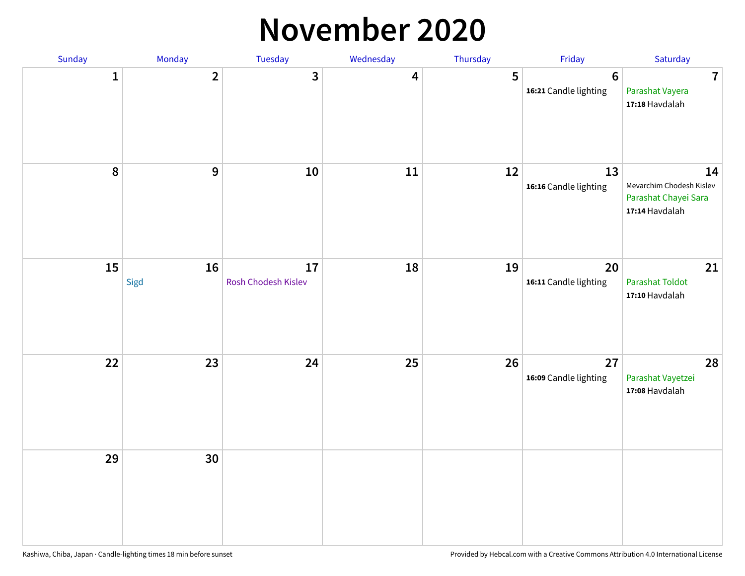#### **November 2020**

| Sunday       | Monday         | Tuesday                   | Wednesday               | Thursday | Friday                                  | Saturday                                                                 |
|--------------|----------------|---------------------------|-------------------------|----------|-----------------------------------------|--------------------------------------------------------------------------|
| $\mathbf{1}$ | $\overline{2}$ | 3                         | $\overline{\mathbf{4}}$ | 5        | $6\phantom{1}$<br>16:21 Candle lighting | $\overline{7}$<br>Parashat Vayera<br>17:18 Havdalah                      |
| 8            | 9              | $10\,$                    | 11                      | 12       | 13<br>16:16 Candle lighting             | 14<br>Mevarchim Chodesh Kislev<br>Parashat Chayei Sara<br>17:14 Havdalah |
| 15           | 16<br>Sigd     | 17<br>Rosh Chodesh Kislev | 18                      | 19       | 20<br>16:11 Candle lighting             | 21<br>Parashat Toldot<br>17:10 Havdalah                                  |
| 22           | 23             | 24                        | 25                      | 26       | 27<br>16:09 Candle lighting             | 28<br>Parashat Vayetzei<br>17:08 Havdalah                                |
| 29           | 30             |                           |                         |          |                                         |                                                                          |